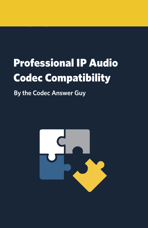# Professional IP Audio Codec Compatibility

**By the Codec Answer Guy**

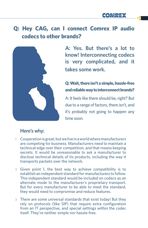## **Q: Hey CAG, can I connect Comrex IP audio codecs to other brands?**



**A: Yes. But there's a lot to know! Interconnecting codecs is very complicated, and it takes some work.**

### **Q: Wait, there isn't a simple, hassle-free and reliable way to interconnect brands?**

A: It feels like there should be, right? But due to a range of factors, there isn't, and it's probably not going to happen any time soon.

#### **Here's why:**

- **1** Cooperation is great, but we live in a world where manufacturers are competing for business. Manufacturers need to maintain a technical edge over their competition, and that means keeping secrets. It would be unreasonable to ask a manufacturer to disclose technical details of its products, including the way it transports packets over the network.
- **2** Given point 1, the best way to achieve compatibility is to establish an independent standard for manufacturers to follow. This independent standard would be included on codecs as an alternate mode to the manufacturer's proprietary transport. But for every manufacturer to be able to meet the standard, they would need to compromise and reduce features.
- **3** There are some universal standards that exist today! But they rely on protocols (like SIP) that require extra configuration from an IT perspective, and special settings within the codec itself. They're neither simple nor hassle-free.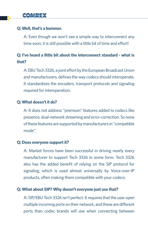## COMREX

#### **Q: Well, that's a bummer.**

A: Even though we won't see a simple way to interconnect any time soon, it is still possible with a little bit of time and effort!

## **Q: I've heard a little bit about the interconnect standard - what is that?**

A: EBU Tech 3326, a joint effort by the European Broadcast Union and manufacturers, defines the way codecs should interoperate. It standardizes the encoders, transport protocols and signaling required for interoperation.

#### **Q: What doesn't it do?**

A: It does not address "premium" features added to codecs like presence, dual-network streaming and error-correction. So none of these features are supported by manufacturers in "compatible mode".

#### **Q: Does everyone support it?**

A: Market forces have been successful in driving nearly every manufacturer to support Tech 3326 in some form. Tech 3326 also has the added benefit of relying on the SIP protocol for signaling, which is used almost universally by Voice-over-IP products, often making them compatible with your codecs.

#### **Q: What about SIP? Why doesn't everyone just use that?**

A: SIP/EBU Tech 3326 isn't perfect. It requires that the user open multiple incoming ports on their network, and these are different ports than codec brands will use when connecting between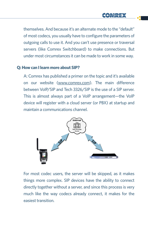themselves. And because it's an alternate mode to the "default" of most codecs, you usually have to configure the parameters of outgoing calls to use it. And you can't use presence or traversal servers (like Comrex Switchboard) to make connections. But under most circumstances it can be made to work in some way.

#### **Q: How can I learn more about SIP?**

A: Comrex has published a primer on the topic and it's available on our website (www.comrex.com). The main difference between VoIP/SIP and Tech 3326/SIP is the use of a SIP server. This is almost always part of a VoIP arrangement—the VoIP device will register with a cloud server (or PBX) at startup and maintain a communications channel.



For most codec users, the server will be skipped, as it makes things more complex. SIP devices have the ability to connect directly together without a server, and since this process is very much like the way codecs already connect, it makes for the easiest transition.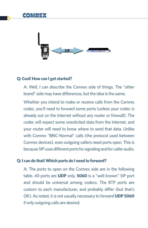



#### **Q: Cool! How can I get started?**

A: Well, I can describe the Comrex side of things. The "other brand" side may have differences, but the idea is the same.

Whether you intend to make or receive calls from the Comrex codec, you'll need to forward some ports (unless your codec is already out on the Internet without any router or firewall). The codec will expect some unsolicited data from the Internet, and your router will need to know where to send that data. Unlike with Comrex "BRIC-Normal" calls (the protocol used between Comrex devices), even outgoing callers need ports open. This is because SIP uses different ports for signaling and for caller audio.

#### **Q: I can do that! Which ports do I need to forward?**

A: The ports to open on the Comrex side are in the following table. All ports are **UDP** only. **5060** is a "well known" SIP port and should be universal among codecs. The RTP ports are custom to each manufacturer, and probably differ (but that's OK). As noted, it is not usually necessary to forward **UDP 5060** if only outgoing calls are desired.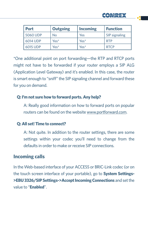

**HAREX** 

\*One additional point on port forwarding—the RTP and RTCP ports might not have to be forwarded if your router employs a SIP ALG (Application Level Gateway) and it's enabled. In this case, the router is smart enough to "sniff" the SIP signaling channel and forward these for you on demand.

#### **Q: I'm not sure how to forward ports. Any help?**

A: Really good information on how to forward ports on popular routers can be found on the website www.portforward.com.

#### **Q: All set! Time to connect?**

A: Not quite. In addition to the router settings, there are some settings within your codec you'll need to change from the defaults in order to make or receive SIP connections.

## **Incoming calls**

In the Web-based interface of your ACCESS or BRIC-Link codec (or on the touch screen interface of your portable), go to **System Settings- >EBU 3326/SIP Settings->Accept Incoming Connections** and set the value to "**Enabled**".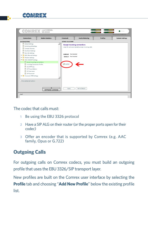

| <b>Connections</b><br><b>Media Statistics</b> | CrossLock          | <b>Audio Metering</b>                               | <b>Profiles</b> | <b>System Settings</b> |  |  |  |
|-----------------------------------------------|--------------------|-----------------------------------------------------|-----------------|------------------------|--|--|--|
| SYSTEM SETTING                                | SETTING ADJUSTMENT |                                                     |                 |                        |  |  |  |
| Global Settings                               |                    | <b>Accept incoming connections</b>                  |                 |                        |  |  |  |
| Switchboard Settings                          |                    | Listen for and automatically answer incoming calls. |                 |                        |  |  |  |
| 門<br>Contact Closures                         |                    |                                                     |                 |                        |  |  |  |
| 뫱<br>Aux Serial Settings                      |                    |                                                     |                 |                        |  |  |  |
| 뾉<br>Security Settings                        | <b>CURRENT</b>     | Not Enabled                                         |                 |                        |  |  |  |
| <b>E</b> BRIC Normal Settings                 |                    | <b>DEFAULT</b> Not Enabled                          |                 |                        |  |  |  |
| Modem Settings                                |                    |                                                     |                 |                        |  |  |  |
| ▼ 2 EBU 3326/SIP Settings                     |                    |                                                     |                 |                        |  |  |  |
| $\mathbb{P}$<br>Accept incoming connections   |                    |                                                     |                 |                        |  |  |  |
| 晉<br>Incoming Connection Profile              | Enabled            |                                                     |                 |                        |  |  |  |
| 뫱<br>Use SIP Proxy                            |                    |                                                     |                 |                        |  |  |  |
| 꽴<br>SIP Proxy Address                        |                    |                                                     |                 |                        |  |  |  |
| 쨈<br>SIP Username                             |                    |                                                     |                 |                        |  |  |  |
| 問<br>SIP Password                             |                    |                                                     |                 |                        |  |  |  |
| CrossLock VPN Settings                        |                    |                                                     |                 |                        |  |  |  |
|                                               |                    |                                                     |                 |                        |  |  |  |
| Show advanced options                         |                    |                                                     |                 |                        |  |  |  |
|                                               |                    |                                                     |                 |                        |  |  |  |
|                                               |                    |                                                     |                 |                        |  |  |  |
| ▴<br>SOFTWARE LICENSING                       | Apply              | Set to Default                                      |                 |                        |  |  |  |

The codec that calls must:

- **1** Be using the EBU 3326 protocol
- **2** Have a SIP ALG on their router (or the proper ports open for their codec)
- **3** Offer an encoder that is supported by Comrex (e.g. AAC family, Opus or G.722)

## **Outgoing Calls**

For outgoing calls on Comrex codecs, you must build an outgoing profile that uses the EBU 3326/SIP transport layer.

New profiles are built on the Comrex user interface by selecting the **Profile** tab and choosing "**Add New Profile**" below the existing profile list.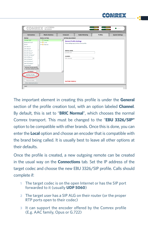

| COMREX                                                                                                                                                                                                                                                                                                             | <b>(ACCESS)</b><br><b>NR ARACK</b>                                                                                               |                                                                                                |                                            | $0 0 0 0 0 0 0 0 0 0 0 0 0 0 0 0 0 0 0 0 0 0 0 0 0 0 0 0 0 0 0 $<br><b></b><br>100000000 | STATUS                 |
|--------------------------------------------------------------------------------------------------------------------------------------------------------------------------------------------------------------------------------------------------------------------------------------------------------------------|----------------------------------------------------------------------------------------------------------------------------------|------------------------------------------------------------------------------------------------|--------------------------------------------|------------------------------------------------------------------------------------------|------------------------|
|                                                                                                                                                                                                                                                                                                                    |                                                                                                                                  |                                                                                                |                                            |                                                                                          | FW 4.0-p13 / FLASH 4.0 |
| <b>Connections</b>                                                                                                                                                                                                                                                                                                 | <b>Media Statistics</b>                                                                                                          | CrossLock                                                                                      | <b>Audio Metering</b>                      | <b>Profiles</b>                                                                          | <b>System Settings</b> |
| <b>PROFILE</b>                                                                                                                                                                                                                                                                                                     | PROFILE SETTING                                                                                                                  | SETTING ADJUSTMENT                                                                             |                                            |                                                                                          |                        |
| 3G AAC-ELD*<br>BGAN AAC-ELD*<br>POTS*<br>AAC Mono*<br>AAC Stereo*<br>HE-AAC Mono*<br>HE-AAC Stereo*<br>HE-AAC V2 Steren*<br>AAC-LD Mono*<br>AAC-LD Stereo*<br>AAC-ELD Mono*<br>AAC-ELD Stereo*<br>Linear PCM*<br>* denotes factory profile<br><> denotes default profile<br>Set Default<br>Add New Profile<br>$ -$ | 同 General<br>$\blacktriangle$<br>$\triangleright$ $\blacksquare$ Local<br>$\blacktriangleright$ $\blacksquare$ Remote<br>$\cdot$ | <b>General Profile Settings</b><br>PROFILE NAME<br>3G AAC-ELD<br>CHANNEL<br><b>BRIC Normal</b> | These settings apply to the whole profile. | ٠                                                                                        |                        |
| Remove Profile<br>Show advanced options                                                                                                                                                                                                                                                                            |                                                                                                                                  | <b>FACTORY PROFILE</b>                                                                         |                                            |                                                                                          |                        |
| CHAT                                                                                                                                                                                                                                                                                                               |                                                                                                                                  |                                                                                                |                                            |                                                                                          |                        |

The important element in creating this profile is under the **General** section of the profile creation tool, with an option labeled **Channel**. By default, this is set to "**BRIC Normal**", which chooses the normal Comrex transport. This must be changed to the "**EBU 3326/SIP"** option to be compatible with other brands. Once this is done, you can enter the **Local** option and choose an encoder that is compatible with the brand being called. It is usually best to leave all other options at their defaults.

Once the profile is created, a new outgoing remote can be created in the usual way on the **Connections** tab. Set the IP address of the target codec and choose the new EBU 3326/SIP profile. Calls should complete if:

- **1** The target codec is on the open Internet or has the SIP port forwarded to it (usually **UDP 5060**)
- **2** The target user has a SIP ALG on their router (or the proper RTP ports open to their codec)
- **3** It can support the encoder offered by the Comrex profile (E.g. AAC family, Opus or G.722)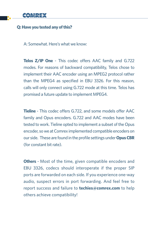

#### **Q: Have you tested any of this?**

A: Somewhat. Here's what we know:

**Telos Z/IP One** - This codec offers AAC family and G.722 modes. For reasons of backward compatibility, Telos chose to implement their AAC encoder using an MPEG2 protocol rather than the MPEG4 as specified in EBU 3326. For this reason, calls will only connect using G.722 mode at this time. Telos has promised a future update to implement MPEG4.

**Tieline** - This codec offers G.722, and some models offer AAC family and Opus encoders. G.722 and AAC modes have been tested to work. Tieline opted to implement a subset of the Opus encoder, so we at Comrex implemented compatible encoders on our side. These are found in the profile settings under **Opus CBR** (for constant bit rate).

**Others** - Most of the time, given compatible encoders and EBU 3326, codecs should interoperate if the proper SIP ports are forwarded on each side. If you experience one-way audio, suspect errors in port forwarding. And feel free to report success and failure to **techies@comrex.com** to help others achieve compatibility!